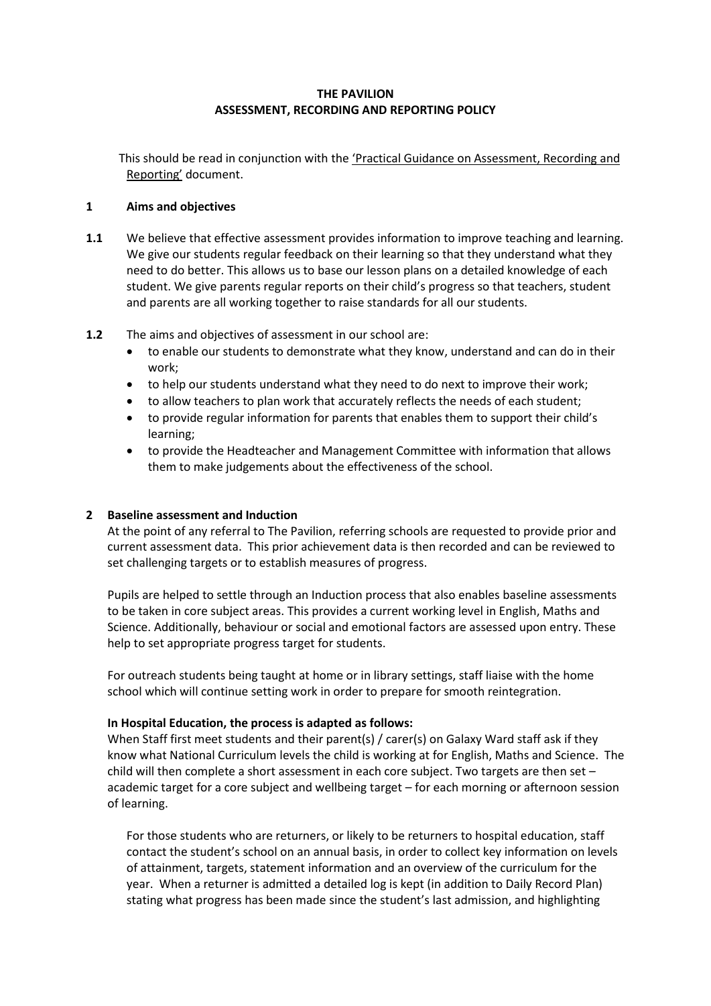### **THE PAVILION ASSESSMENT, RECORDING AND REPORTING POLICY**

This should be read in conjunction with the 'Practical Guidance on Assessment, Recording and Reporting' document.

### **1 Aims and objectives**

- **1.1** We believe that effective assessment provides information to improve teaching and learning. We give our students regular feedback on their learning so that they understand what they need to do better. This allows us to base our lesson plans on a detailed knowledge of each student. We give parents regular reports on their child's progress so that teachers, student and parents are all working together to raise standards for all our students.
- **1.2** The aims and objectives of assessment in our school are:
	- to enable our students to demonstrate what they know, understand and can do in their work;
	- to help our students understand what they need to do next to improve their work;
	- to allow teachers to plan work that accurately reflects the needs of each student;
	- to provide regular information for parents that enables them to support their child's learning;
	- to provide the Headteacher and Management Committee with information that allows them to make judgements about the effectiveness of the school.

#### **2 Baseline assessment and Induction**

At the point of any referral to The Pavilion, referring schools are requested to provide prior and current assessment data. This prior achievement data is then recorded and can be reviewed to set challenging targets or to establish measures of progress.

Pupils are helped to settle through an Induction process that also enables baseline assessments to be taken in core subject areas. This provides a current working level in English, Maths and Science. Additionally, behaviour or social and emotional factors are assessed upon entry. These help to set appropriate progress target for students.

For outreach students being taught at home or in library settings, staff liaise with the home school which will continue setting work in order to prepare for smooth reintegration.

#### **In Hospital Education, the process is adapted as follows:**

When Staff first meet students and their parent(s) / carer(s) on Galaxy Ward staff ask if they know what National Curriculum levels the child is working at for English, Maths and Science. The child will then complete a short assessment in each core subject. Two targets are then set – academic target for a core subject and wellbeing target – for each morning or afternoon session of learning.

For those students who are returners, or likely to be returners to hospital education, staff contact the student's school on an annual basis, in order to collect key information on levels of attainment, targets, statement information and an overview of the curriculum for the year. When a returner is admitted a detailed log is kept (in addition to Daily Record Plan) stating what progress has been made since the student's last admission, and highlighting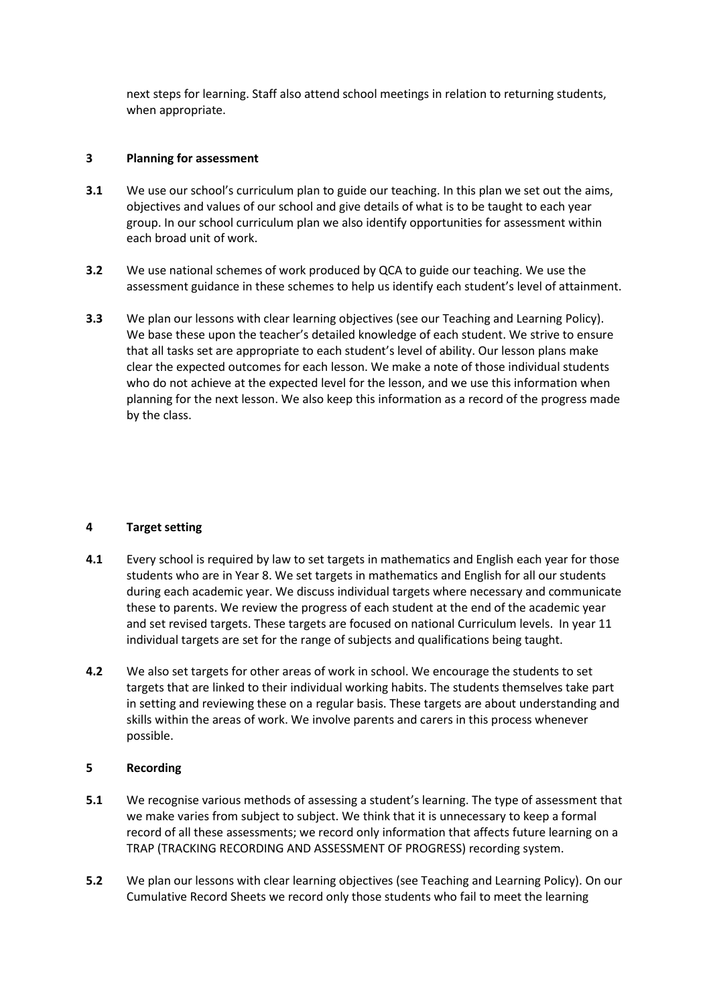next steps for learning. Staff also attend school meetings in relation to returning students, when appropriate.

#### **3 Planning for assessment**

- **3.1** We use our school's curriculum plan to guide our teaching. In this plan we set out the aims, objectives and values of our school and give details of what is to be taught to each year group. In our school curriculum plan we also identify opportunities for assessment within each broad unit of work.
- **3.2** We use national schemes of work produced by QCA to guide our teaching. We use the assessment guidance in these schemes to help us identify each student's level of attainment.
- **3.3** We plan our lessons with clear learning objectives (see our Teaching and Learning Policy). We base these upon the teacher's detailed knowledge of each student. We strive to ensure that all tasks set are appropriate to each student's level of ability. Our lesson plans make clear the expected outcomes for each lesson. We make a note of those individual students who do not achieve at the expected level for the lesson, and we use this information when planning for the next lesson. We also keep this information as a record of the progress made by the class.

#### **4 Target setting**

- **4.1** Every school is required by law to set targets in mathematics and English each year for those students who are in Year 8. We set targets in mathematics and English for all our students during each academic year. We discuss individual targets where necessary and communicate these to parents. We review the progress of each student at the end of the academic year and set revised targets. These targets are focused on national Curriculum levels. In year 11 individual targets are set for the range of subjects and qualifications being taught.
- **4.2** We also set targets for other areas of work in school. We encourage the students to set targets that are linked to their individual working habits. The students themselves take part in setting and reviewing these on a regular basis. These targets are about understanding and skills within the areas of work. We involve parents and carers in this process whenever possible.

# **5 Recording**

- **5.1** We recognise various methods of assessing a student's learning. The type of assessment that we make varies from subject to subject. We think that it is unnecessary to keep a formal record of all these assessments; we record only information that affects future learning on a TRAP (TRACKING RECORDING AND ASSESSMENT OF PROGRESS) recording system.
- **5.2** We plan our lessons with clear learning objectives (see Teaching and Learning Policy). On our Cumulative Record Sheets we record only those students who fail to meet the learning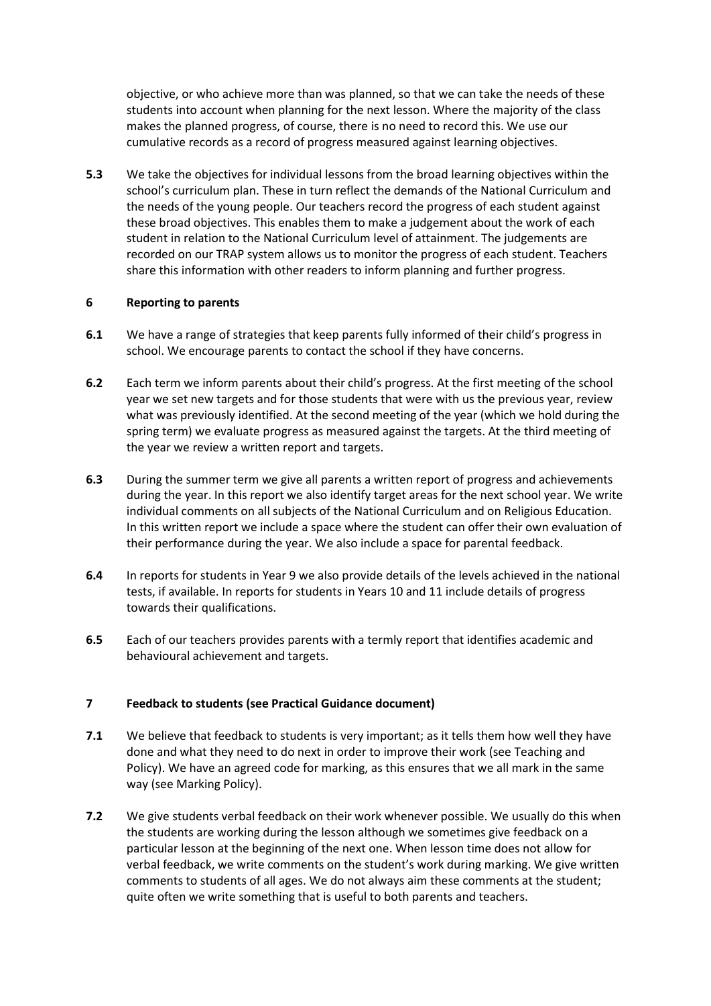objective, or who achieve more than was planned, so that we can take the needs of these students into account when planning for the next lesson. Where the majority of the class makes the planned progress, of course, there is no need to record this. We use our cumulative records as a record of progress measured against learning objectives.

**5.3** We take the objectives for individual lessons from the broad learning objectives within the school's curriculum plan. These in turn reflect the demands of the National Curriculum and the needs of the young people. Our teachers record the progress of each student against these broad objectives. This enables them to make a judgement about the work of each student in relation to the National Curriculum level of attainment. The judgements are recorded on our TRAP system allows us to monitor the progress of each student. Teachers share this information with other readers to inform planning and further progress.

### **6 Reporting to parents**

- **6.1** We have a range of strategies that keep parents fully informed of their child's progress in school. We encourage parents to contact the school if they have concerns.
- **6.2** Each term we inform parents about their child's progress. At the first meeting of the school year we set new targets and for those students that were with us the previous year, review what was previously identified. At the second meeting of the year (which we hold during the spring term) we evaluate progress as measured against the targets. At the third meeting of the year we review a written report and targets.
- **6.3** During the summer term we give all parents a written report of progress and achievements during the year. In this report we also identify target areas for the next school year. We write individual comments on all subjects of the National Curriculum and on Religious Education. In this written report we include a space where the student can offer their own evaluation of their performance during the year. We also include a space for parental feedback.
- **6.4** In reports for students in Year 9 we also provide details of the levels achieved in the national tests, if available. In reports for students in Years 10 and 11 include details of progress towards their qualifications.
- **6.5** Each of our teachers provides parents with a termly report that identifies academic and behavioural achievement and targets.

# **7 Feedback to students (see Practical Guidance document)**

- **7.1** We believe that feedback to students is very important; as it tells them how well they have done and what they need to do next in order to improve their work (see Teaching and Policy). We have an agreed code for marking, as this ensures that we all mark in the same way (see Marking Policy).
- **7.2** We give students verbal feedback on their work whenever possible. We usually do this when the students are working during the lesson although we sometimes give feedback on a particular lesson at the beginning of the next one. When lesson time does not allow for verbal feedback, we write comments on the student's work during marking. We give written comments to students of all ages. We do not always aim these comments at the student; quite often we write something that is useful to both parents and teachers.